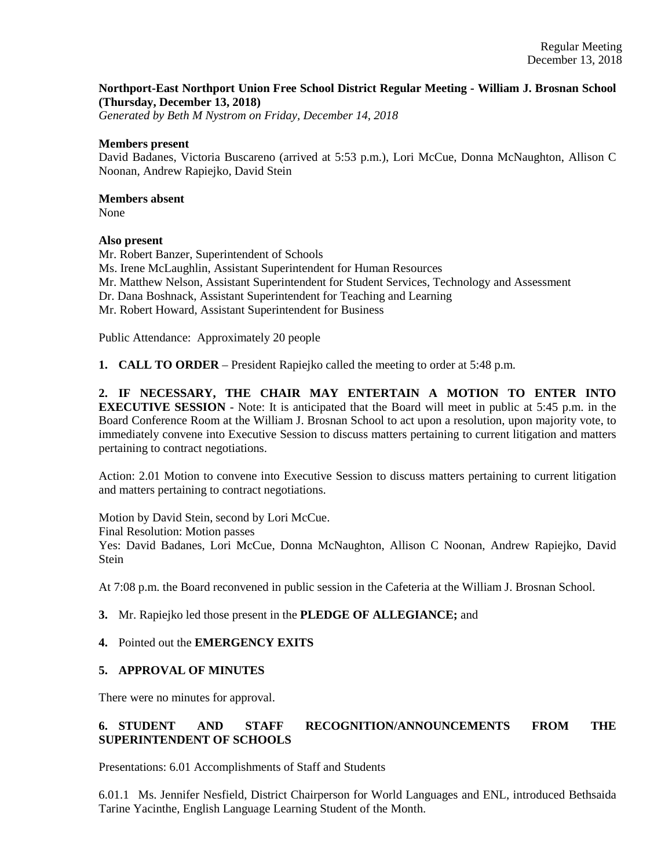# **Northport-East Northport Union Free School District Regular Meeting - William J. Brosnan School (Thursday, December 13, 2018)**

*Generated by Beth M Nystrom on Friday, December 14, 2018*

### **Members present**

David Badanes, Victoria Buscareno (arrived at 5:53 p.m.), Lori McCue, Donna McNaughton, Allison C Noonan, Andrew Rapiejko, David Stein

### **Members absent**

None

## **Also present**

Mr. Robert Banzer, Superintendent of Schools Ms. Irene McLaughlin, Assistant Superintendent for Human Resources Mr. Matthew Nelson, Assistant Superintendent for Student Services, Technology and Assessment Dr. Dana Boshnack, Assistant Superintendent for Teaching and Learning Mr. Robert Howard, Assistant Superintendent for Business

Public Attendance: Approximately 20 people

**1. CALL TO ORDER** – President Rapiejko called the meeting to order at 5:48 p.m.

**2. IF NECESSARY, THE CHAIR MAY ENTERTAIN A MOTION TO ENTER INTO EXECUTIVE SESSION** - Note: It is anticipated that the Board will meet in public at 5:45 p.m. in the Board Conference Room at the William J. Brosnan School to act upon a resolution, upon majority vote, to immediately convene into Executive Session to discuss matters pertaining to current litigation and matters pertaining to contract negotiations.

Action: 2.01 Motion to convene into Executive Session to discuss matters pertaining to current litigation and matters pertaining to contract negotiations.

Motion by David Stein, second by Lori McCue.

Final Resolution: Motion passes

Yes: David Badanes, Lori McCue, Donna McNaughton, Allison C Noonan, Andrew Rapiejko, David **Stein** 

At 7:08 p.m. the Board reconvened in public session in the Cafeteria at the William J. Brosnan School.

## **3.** Mr. Rapiejko led those present in the **PLEDGE OF ALLEGIANCE;** and

## **4.** Pointed out the **EMERGENCY EXITS**

## **5. APPROVAL OF MINUTES**

There were no minutes for approval.

# **6. STUDENT AND STAFF RECOGNITION/ANNOUNCEMENTS FROM THE SUPERINTENDENT OF SCHOOLS**

Presentations: 6.01 Accomplishments of Staff and Students

6.01.1 Ms. Jennifer Nesfield, District Chairperson for World Languages and ENL, introduced Bethsaida Tarine Yacinthe, English Language Learning Student of the Month.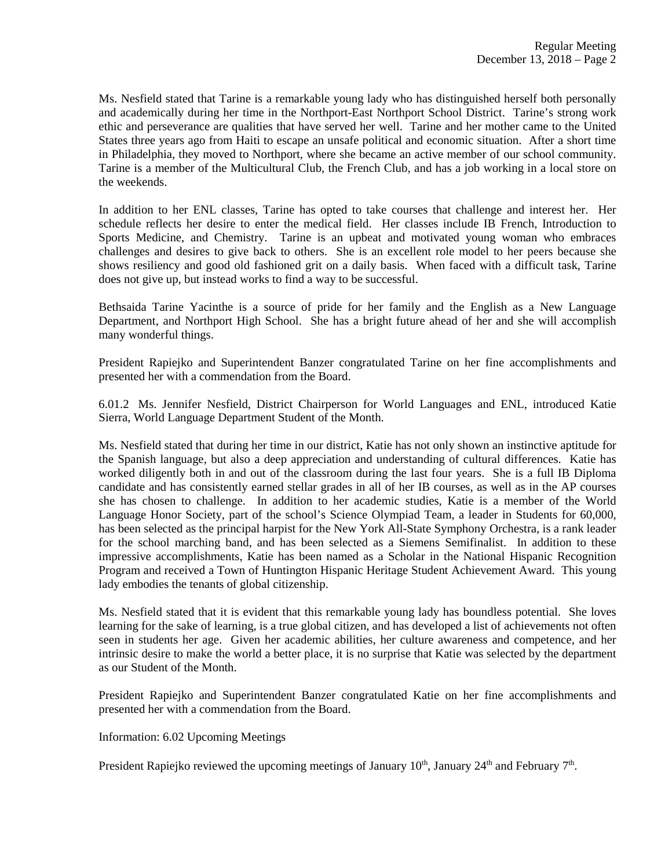Ms. Nesfield stated that Tarine is a remarkable young lady who has distinguished herself both personally and academically during her time in the Northport-East Northport School District. Tarine's strong work ethic and perseverance are qualities that have served her well. Tarine and her mother came to the United States three years ago from Haiti to escape an unsafe political and economic situation. After a short time in Philadelphia, they moved to Northport, where she became an active member of our school community. Tarine is a member of the Multicultural Club, the French Club, and has a job working in a local store on the weekends.

In addition to her ENL classes, Tarine has opted to take courses that challenge and interest her. Her schedule reflects her desire to enter the medical field. Her classes include IB French, Introduction to Sports Medicine, and Chemistry. Tarine is an upbeat and motivated young woman who embraces challenges and desires to give back to others. She is an excellent role model to her peers because she shows resiliency and good old fashioned grit on a daily basis. When faced with a difficult task, Tarine does not give up, but instead works to find a way to be successful.

Bethsaida Tarine Yacinthe is a source of pride for her family and the English as a New Language Department, and Northport High School. She has a bright future ahead of her and she will accomplish many wonderful things.

President Rapiejko and Superintendent Banzer congratulated Tarine on her fine accomplishments and presented her with a commendation from the Board.

6.01.2 Ms. Jennifer Nesfield, District Chairperson for World Languages and ENL, introduced Katie Sierra, World Language Department Student of the Month.

Ms. Nesfield stated that during her time in our district, Katie has not only shown an instinctive aptitude for the Spanish language, but also a deep appreciation and understanding of cultural differences. Katie has worked diligently both in and out of the classroom during the last four years. She is a full IB Diploma candidate and has consistently earned stellar grades in all of her IB courses, as well as in the AP courses she has chosen to challenge. In addition to her academic studies, Katie is a member of the World Language Honor Society, part of the school's Science Olympiad Team, a leader in Students for 60,000, has been selected as the principal harpist for the New York All-State Symphony Orchestra, is a rank leader for the school marching band, and has been selected as a Siemens Semifinalist. In addition to these impressive accomplishments, Katie has been named as a Scholar in the National Hispanic Recognition Program and received a Town of Huntington Hispanic Heritage Student Achievement Award. This young lady embodies the tenants of global citizenship.

Ms. Nesfield stated that it is evident that this remarkable young lady has boundless potential. She loves learning for the sake of learning, is a true global citizen, and has developed a list of achievements not often seen in students her age. Given her academic abilities, her culture awareness and competence, and her intrinsic desire to make the world a better place, it is no surprise that Katie was selected by the department as our Student of the Month.

President Rapiejko and Superintendent Banzer congratulated Katie on her fine accomplishments and presented her with a commendation from the Board.

Information: 6.02 Upcoming Meetings

President Rapiejko reviewed the upcoming meetings of January  $10<sup>th</sup>$ , January  $24<sup>th</sup>$  and February  $7<sup>th</sup>$ .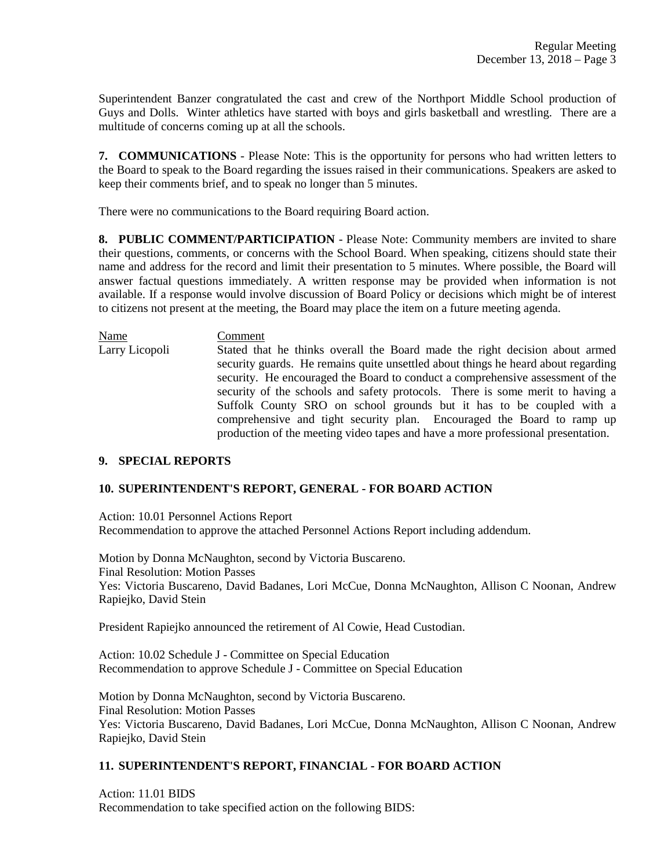Superintendent Banzer congratulated the cast and crew of the Northport Middle School production of Guys and Dolls. Winter athletics have started with boys and girls basketball and wrestling. There are a multitude of concerns coming up at all the schools.

**7. COMMUNICATIONS** - Please Note: This is the opportunity for persons who had written letters to the Board to speak to the Board regarding the issues raised in their communications. Speakers are asked to keep their comments brief, and to speak no longer than 5 minutes.

There were no communications to the Board requiring Board action.

**8. PUBLIC COMMENT/PARTICIPATION** - Please Note: Community members are invited to share their questions, comments, or concerns with the School Board. When speaking, citizens should state their name and address for the record and limit their presentation to 5 minutes. Where possible, the Board will answer factual questions immediately. A written response may be provided when information is not available. If a response would involve discussion of Board Policy or decisions which might be of interest to citizens not present at the meeting, the Board may place the item on a future meeting agenda.

Name Comment Larry Licopoli Stated that he thinks overall the Board made the right decision about armed security guards. He remains quite unsettled about things he heard about regarding security. He encouraged the Board to conduct a comprehensive assessment of the security of the schools and safety protocols. There is some merit to having a Suffolk County SRO on school grounds but it has to be coupled with a comprehensive and tight security plan. Encouraged the Board to ramp up production of the meeting video tapes and have a more professional presentation.

## **9. SPECIAL REPORTS**

## **10. SUPERINTENDENT'S REPORT, GENERAL - FOR BOARD ACTION**

Action: 10.01 Personnel Actions Report Recommendation to approve the attached Personnel Actions Report including addendum.

Motion by Donna McNaughton, second by Victoria Buscareno. Final Resolution: Motion Passes Yes: Victoria Buscareno, David Badanes, Lori McCue, Donna McNaughton, Allison C Noonan, Andrew Rapiejko, David Stein

President Rapiejko announced the retirement of Al Cowie, Head Custodian.

Action: 10.02 Schedule J - Committee on Special Education Recommendation to approve Schedule J - Committee on Special Education

Motion by Donna McNaughton, second by Victoria Buscareno. Final Resolution: Motion Passes Yes: Victoria Buscareno, David Badanes, Lori McCue, Donna McNaughton, Allison C Noonan, Andrew Rapiejko, David Stein

## **11. SUPERINTENDENT'S REPORT, FINANCIAL - FOR BOARD ACTION**

Action: 11.01 BIDS Recommendation to take specified action on the following BIDS: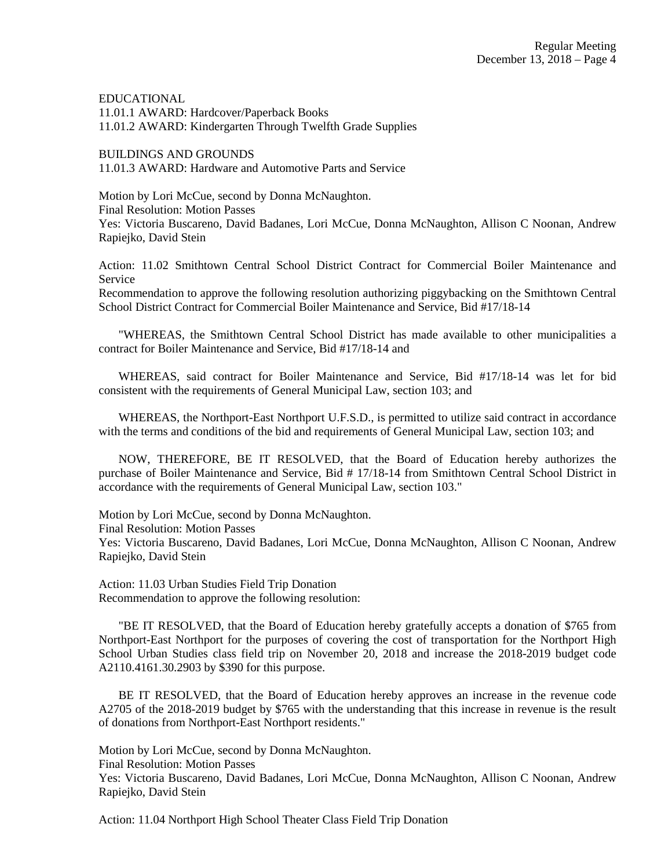EDUCATIONAL 11.01.1 AWARD: Hardcover/Paperback Books 11.01.2 AWARD: Kindergarten Through Twelfth Grade Supplies

BUILDINGS AND GROUNDS 11.01.3 AWARD: Hardware and Automotive Parts and Service

Motion by Lori McCue, second by Donna McNaughton. Final Resolution: Motion Passes Yes: Victoria Buscareno, David Badanes, Lori McCue, Donna McNaughton, Allison C Noonan, Andrew Rapiejko, David Stein

Action: 11.02 Smithtown Central School District Contract for Commercial Boiler Maintenance and Service

Recommendation to approve the following resolution authorizing piggybacking on the Smithtown Central School District Contract for Commercial Boiler Maintenance and Service, Bid #17/18-14

"WHEREAS, the Smithtown Central School District has made available to other municipalities a contract for Boiler Maintenance and Service, Bid #17/18-14 and

WHEREAS, said contract for Boiler Maintenance and Service, Bid #17/18-14 was let for bid consistent with the requirements of General Municipal Law, section 103; and

WHEREAS, the Northport-East Northport U.F.S.D., is permitted to utilize said contract in accordance with the terms and conditions of the bid and requirements of General Municipal Law, section 103; and

NOW, THEREFORE, BE IT RESOLVED, that the Board of Education hereby authorizes the purchase of Boiler Maintenance and Service, Bid # 17/18-14 from Smithtown Central School District in accordance with the requirements of General Municipal Law, section 103."

Motion by Lori McCue, second by Donna McNaughton.

Final Resolution: Motion Passes

Yes: Victoria Buscareno, David Badanes, Lori McCue, Donna McNaughton, Allison C Noonan, Andrew Rapiejko, David Stein

Action: 11.03 Urban Studies Field Trip Donation Recommendation to approve the following resolution:

"BE IT RESOLVED, that the Board of Education hereby gratefully accepts a donation of \$765 from Northport-East Northport for the purposes of covering the cost of transportation for the Northport High School Urban Studies class field trip on November 20, 2018 and increase the 2018-2019 budget code A2110.4161.30.2903 by \$390 for this purpose.

BE IT RESOLVED, that the Board of Education hereby approves an increase in the revenue code A2705 of the 2018-2019 budget by \$765 with the understanding that this increase in revenue is the result of donations from Northport-East Northport residents."

Motion by Lori McCue, second by Donna McNaughton.

Final Resolution: Motion Passes

Yes: Victoria Buscareno, David Badanes, Lori McCue, Donna McNaughton, Allison C Noonan, Andrew Rapiejko, David Stein

Action: 11.04 Northport High School Theater Class Field Trip Donation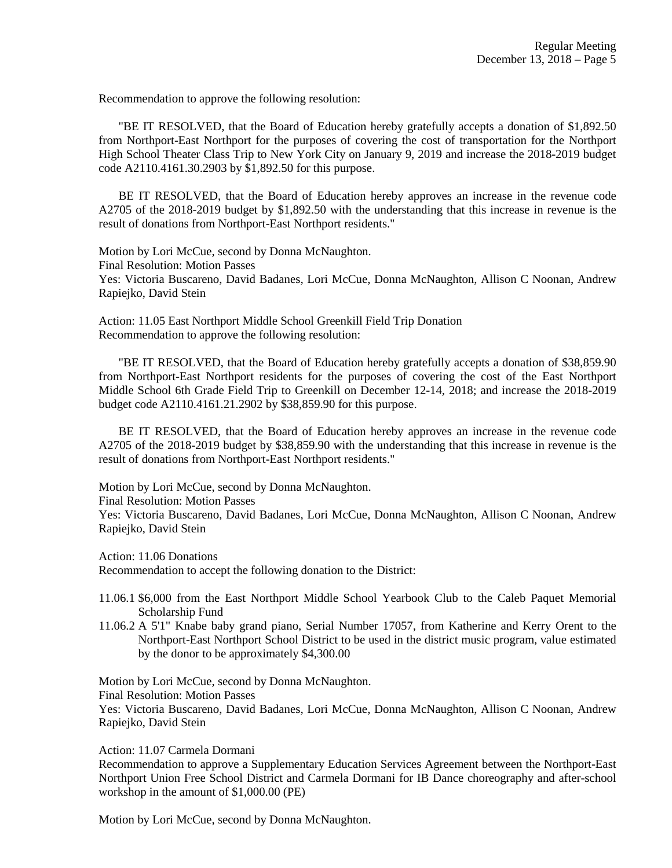Recommendation to approve the following resolution:

"BE IT RESOLVED, that the Board of Education hereby gratefully accepts a donation of \$1,892.50 from Northport-East Northport for the purposes of covering the cost of transportation for the Northport High School Theater Class Trip to New York City on January 9, 2019 and increase the 2018-2019 budget code A2110.4161.30.2903 by \$1,892.50 for this purpose.

BE IT RESOLVED, that the Board of Education hereby approves an increase in the revenue code A2705 of the 2018-2019 budget by \$1,892.50 with the understanding that this increase in revenue is the result of donations from Northport-East Northport residents."

Motion by Lori McCue, second by Donna McNaughton. Final Resolution: Motion Passes Yes: Victoria Buscareno, David Badanes, Lori McCue, Donna McNaughton, Allison C Noonan, Andrew Rapiejko, David Stein

Action: 11.05 East Northport Middle School Greenkill Field Trip Donation Recommendation to approve the following resolution:

"BE IT RESOLVED, that the Board of Education hereby gratefully accepts a donation of \$38,859.90 from Northport-East Northport residents for the purposes of covering the cost of the East Northport Middle School 6th Grade Field Trip to Greenkill on December 12-14, 2018; and increase the 2018-2019 budget code A2110.4161.21.2902 by \$38,859.90 for this purpose.

BE IT RESOLVED, that the Board of Education hereby approves an increase in the revenue code A2705 of the 2018-2019 budget by \$38,859.90 with the understanding that this increase in revenue is the result of donations from Northport-East Northport residents."

Motion by Lori McCue, second by Donna McNaughton.

Final Resolution: Motion Passes

Yes: Victoria Buscareno, David Badanes, Lori McCue, Donna McNaughton, Allison C Noonan, Andrew Rapiejko, David Stein

Action: 11.06 Donations

Recommendation to accept the following donation to the District:

11.06.1 \$6,000 from the East Northport Middle School Yearbook Club to the Caleb Paquet Memorial Scholarship Fund

11.06.2 A 5'1" Knabe baby grand piano, Serial Number 17057, from Katherine and Kerry Orent to the Northport-East Northport School District to be used in the district music program, value estimated by the donor to be approximately \$4,300.00

Motion by Lori McCue, second by Donna McNaughton. Final Resolution: Motion Passes Yes: Victoria Buscareno, David Badanes, Lori McCue, Donna McNaughton, Allison C Noonan, Andrew Rapiejko, David Stein

Action: 11.07 Carmela Dormani

Recommendation to approve a Supplementary Education Services Agreement between the Northport-East Northport Union Free School District and Carmela Dormani for IB Dance choreography and after-school workshop in the amount of \$1,000.00 (PE)

Motion by Lori McCue, second by Donna McNaughton.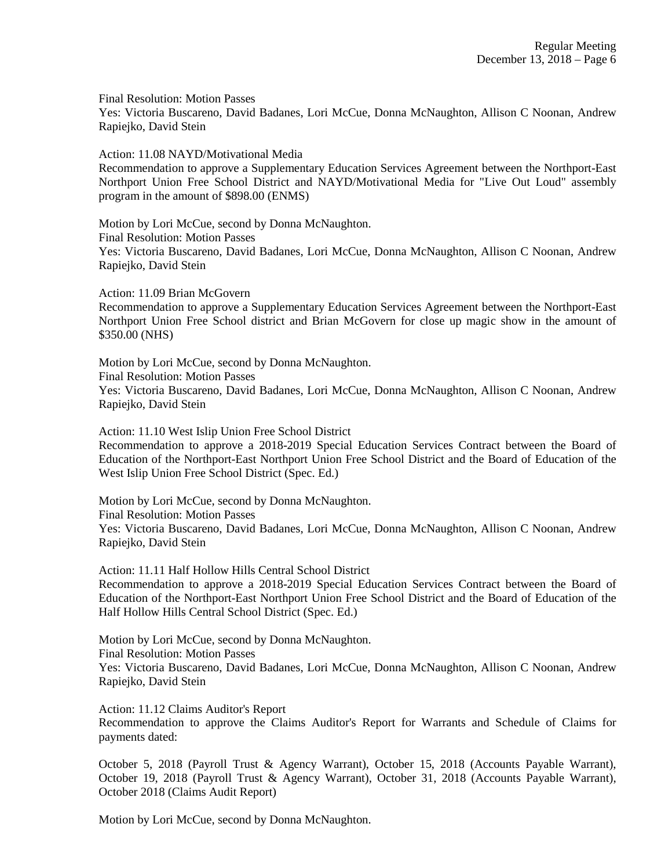Final Resolution: Motion Passes

Yes: Victoria Buscareno, David Badanes, Lori McCue, Donna McNaughton, Allison C Noonan, Andrew Rapiejko, David Stein

Action: 11.08 NAYD/Motivational Media

Recommendation to approve a Supplementary Education Services Agreement between the Northport-East Northport Union Free School District and NAYD/Motivational Media for "Live Out Loud" assembly program in the amount of \$898.00 (ENMS)

Motion by Lori McCue, second by Donna McNaughton. Final Resolution: Motion Passes Yes: Victoria Buscareno, David Badanes, Lori McCue, Donna McNaughton, Allison C Noonan, Andrew Rapiejko, David Stein

Action: 11.09 Brian McGovern

Recommendation to approve a Supplementary Education Services Agreement between the Northport-East Northport Union Free School district and Brian McGovern for close up magic show in the amount of \$350.00 (NHS)

Motion by Lori McCue, second by Donna McNaughton. Final Resolution: Motion Passes Yes: Victoria Buscareno, David Badanes, Lori McCue, Donna McNaughton, Allison C Noonan, Andrew Rapiejko, David Stein

Action: 11.10 West Islip Union Free School District Recommendation to approve a 2018-2019 Special Education Services Contract between the Board of Education of the Northport-East Northport Union Free School District and the Board of Education of the West Islip Union Free School District (Spec. Ed.)

Motion by Lori McCue, second by Donna McNaughton. Final Resolution: Motion Passes Yes: Victoria Buscareno, David Badanes, Lori McCue, Donna McNaughton, Allison C Noonan, Andrew Rapiejko, David Stein

Action: 11.11 Half Hollow Hills Central School District Recommendation to approve a 2018-2019 Special Education Services Contract between the Board of Education of the Northport-East Northport Union Free School District and the Board of Education of the Half Hollow Hills Central School District (Spec. Ed.)

Motion by Lori McCue, second by Donna McNaughton. Final Resolution: Motion Passes Yes: Victoria Buscareno, David Badanes, Lori McCue, Donna McNaughton, Allison C Noonan, Andrew Rapiejko, David Stein

Action: 11.12 Claims Auditor's Report

Recommendation to approve the Claims Auditor's Report for Warrants and Schedule of Claims for payments dated:

October 5, 2018 (Payroll Trust & Agency Warrant), October 15, 2018 (Accounts Payable Warrant), October 19, 2018 (Payroll Trust & Agency Warrant), October 31, 2018 (Accounts Payable Warrant), October 2018 (Claims Audit Report)

Motion by Lori McCue, second by Donna McNaughton.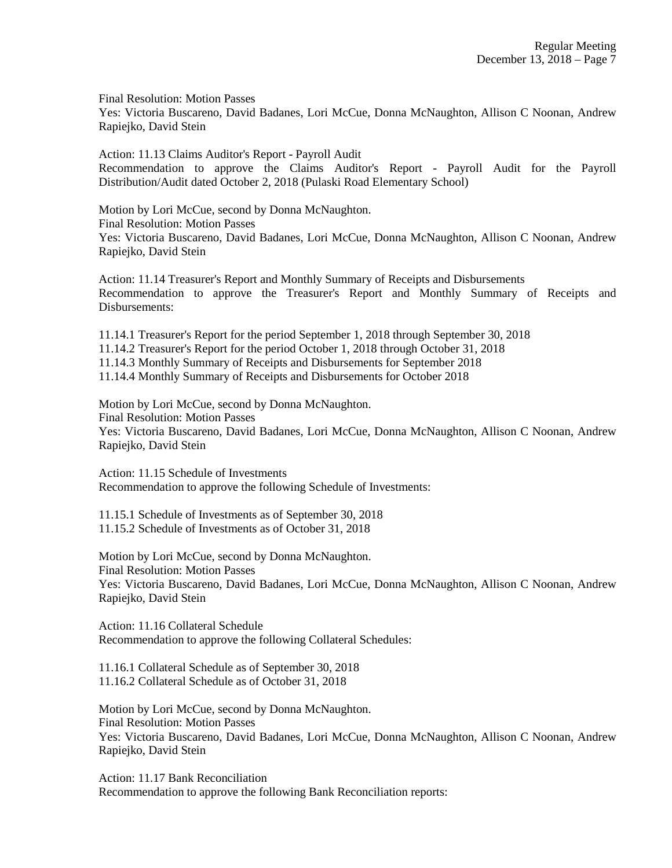Final Resolution: Motion Passes

Yes: Victoria Buscareno, David Badanes, Lori McCue, Donna McNaughton, Allison C Noonan, Andrew Rapiejko, David Stein

Action: 11.13 Claims Auditor's Report - Payroll Audit Recommendation to approve the Claims Auditor's Report - Payroll Audit for the Payroll Distribution/Audit dated October 2, 2018 (Pulaski Road Elementary School)

Motion by Lori McCue, second by Donna McNaughton. Final Resolution: Motion Passes Yes: Victoria Buscareno, David Badanes, Lori McCue, Donna McNaughton, Allison C Noonan, Andrew Rapiejko, David Stein

Action: 11.14 Treasurer's Report and Monthly Summary of Receipts and Disbursements Recommendation to approve the Treasurer's Report and Monthly Summary of Receipts and Disbursements:

11.14.1 Treasurer's Report for the period September 1, 2018 through September 30, 2018

11.14.2 Treasurer's Report for the period October 1, 2018 through October 31, 2018

11.14.3 Monthly Summary of Receipts and Disbursements for September 2018

11.14.4 Monthly Summary of Receipts and Disbursements for October 2018

Motion by Lori McCue, second by Donna McNaughton. Final Resolution: Motion Passes Yes: Victoria Buscareno, David Badanes, Lori McCue, Donna McNaughton, Allison C Noonan, Andrew Rapiejko, David Stein

Action: 11.15 Schedule of Investments Recommendation to approve the following Schedule of Investments:

11.15.1 Schedule of Investments as of September 30, 2018 11.15.2 Schedule of Investments as of October 31, 2018

Motion by Lori McCue, second by Donna McNaughton. Final Resolution: Motion Passes Yes: Victoria Buscareno, David Badanes, Lori McCue, Donna McNaughton, Allison C Noonan, Andrew Rapiejko, David Stein

Action: 11.16 Collateral Schedule Recommendation to approve the following Collateral Schedules:

11.16.1 Collateral Schedule as of September 30, 2018 11.16.2 Collateral Schedule as of October 31, 2018

Motion by Lori McCue, second by Donna McNaughton. Final Resolution: Motion Passes Yes: Victoria Buscareno, David Badanes, Lori McCue, Donna McNaughton, Allison C Noonan, Andrew Rapiejko, David Stein

Action: 11.17 Bank Reconciliation Recommendation to approve the following Bank Reconciliation reports: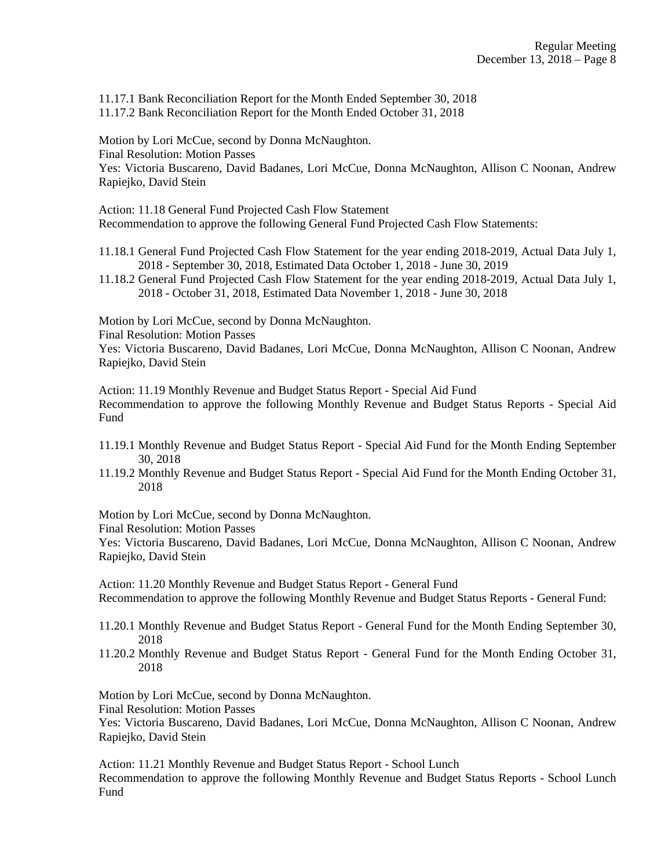11.17.1 Bank Reconciliation Report for the Month Ended September 30, 2018 11.17.2 Bank Reconciliation Report for the Month Ended October 31, 2018

Motion by Lori McCue, second by Donna McNaughton. Final Resolution: Motion Passes Yes: Victoria Buscareno, David Badanes, Lori McCue, Donna McNaughton, Allison C Noonan, Andrew Rapiejko, David Stein

Action: 11.18 General Fund Projected Cash Flow Statement Recommendation to approve the following General Fund Projected Cash Flow Statements:

- 11.18.1 General Fund Projected Cash Flow Statement for the year ending 2018-2019, Actual Data July 1, 2018 - September 30, 2018, Estimated Data October 1, 2018 - June 30, 2019
- 11.18.2 General Fund Projected Cash Flow Statement for the year ending 2018-2019, Actual Data July 1, 2018 - October 31, 2018, Estimated Data November 1, 2018 - June 30, 2018

Motion by Lori McCue, second by Donna McNaughton.

Final Resolution: Motion Passes

Yes: Victoria Buscareno, David Badanes, Lori McCue, Donna McNaughton, Allison C Noonan, Andrew Rapiejko, David Stein

Action: 11.19 Monthly Revenue and Budget Status Report - Special Aid Fund Recommendation to approve the following Monthly Revenue and Budget Status Reports - Special Aid Fund

- 11.19.1 Monthly Revenue and Budget Status Report Special Aid Fund for the Month Ending September 30, 2018
- 11.19.2 Monthly Revenue and Budget Status Report Special Aid Fund for the Month Ending October 31, 2018

Motion by Lori McCue, second by Donna McNaughton.

Final Resolution: Motion Passes

Yes: Victoria Buscareno, David Badanes, Lori McCue, Donna McNaughton, Allison C Noonan, Andrew Rapiejko, David Stein

Action: 11.20 Monthly Revenue and Budget Status Report - General Fund Recommendation to approve the following Monthly Revenue and Budget Status Reports - General Fund:

- 11.20.1 Monthly Revenue and Budget Status Report General Fund for the Month Ending September 30, 2018
- 11.20.2 Monthly Revenue and Budget Status Report General Fund for the Month Ending October 31, 2018

Motion by Lori McCue, second by Donna McNaughton.

Final Resolution: Motion Passes

Yes: Victoria Buscareno, David Badanes, Lori McCue, Donna McNaughton, Allison C Noonan, Andrew Rapiejko, David Stein

Action: 11.21 Monthly Revenue and Budget Status Report - School Lunch

Recommendation to approve the following Monthly Revenue and Budget Status Reports - School Lunch Fund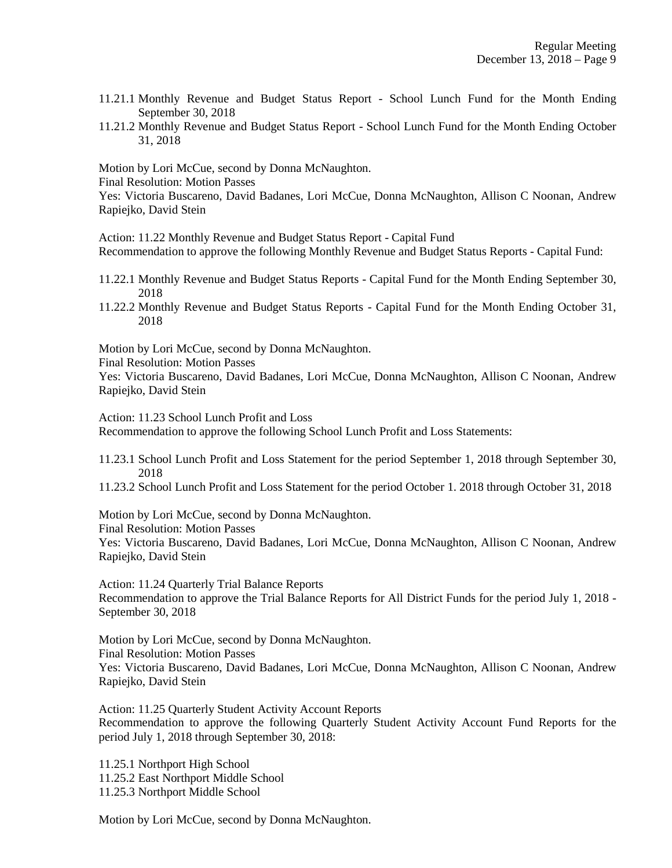- 11.21.1 Monthly Revenue and Budget Status Report School Lunch Fund for the Month Ending September 30, 2018
- 11.21.2 Monthly Revenue and Budget Status Report School Lunch Fund for the Month Ending October 31, 2018

Motion by Lori McCue, second by Donna McNaughton.

Final Resolution: Motion Passes

Yes: Victoria Buscareno, David Badanes, Lori McCue, Donna McNaughton, Allison C Noonan, Andrew Rapiejko, David Stein

Action: 11.22 Monthly Revenue and Budget Status Report - Capital Fund

Recommendation to approve the following Monthly Revenue and Budget Status Reports - Capital Fund:

- 11.22.1 Monthly Revenue and Budget Status Reports Capital Fund for the Month Ending September 30, 2018
- 11.22.2 Monthly Revenue and Budget Status Reports Capital Fund for the Month Ending October 31, 2018

Motion by Lori McCue, second by Donna McNaughton.

Final Resolution: Motion Passes

Yes: Victoria Buscareno, David Badanes, Lori McCue, Donna McNaughton, Allison C Noonan, Andrew Rapiejko, David Stein

Action: 11.23 School Lunch Profit and Loss

Recommendation to approve the following School Lunch Profit and Loss Statements:

11.23.1 School Lunch Profit and Loss Statement for the period September 1, 2018 through September 30, 2018

11.23.2 School Lunch Profit and Loss Statement for the period October 1. 2018 through October 31, 2018

Motion by Lori McCue, second by Donna McNaughton.

Final Resolution: Motion Passes

Yes: Victoria Buscareno, David Badanes, Lori McCue, Donna McNaughton, Allison C Noonan, Andrew Rapiejko, David Stein

Action: 11.24 Quarterly Trial Balance Reports Recommendation to approve the Trial Balance Reports for All District Funds for the period July 1, 2018 - September 30, 2018

Motion by Lori McCue, second by Donna McNaughton. Final Resolution: Motion Passes Yes: Victoria Buscareno, David Badanes, Lori McCue, Donna McNaughton, Allison C Noonan, Andrew Rapiejko, David Stein

Action: 11.25 Quarterly Student Activity Account Reports Recommendation to approve the following Quarterly Student Activity Account Fund Reports for the period July 1, 2018 through September 30, 2018:

11.25.1 Northport High School 11.25.2 East Northport Middle School 11.25.3 Northport Middle School

Motion by Lori McCue, second by Donna McNaughton.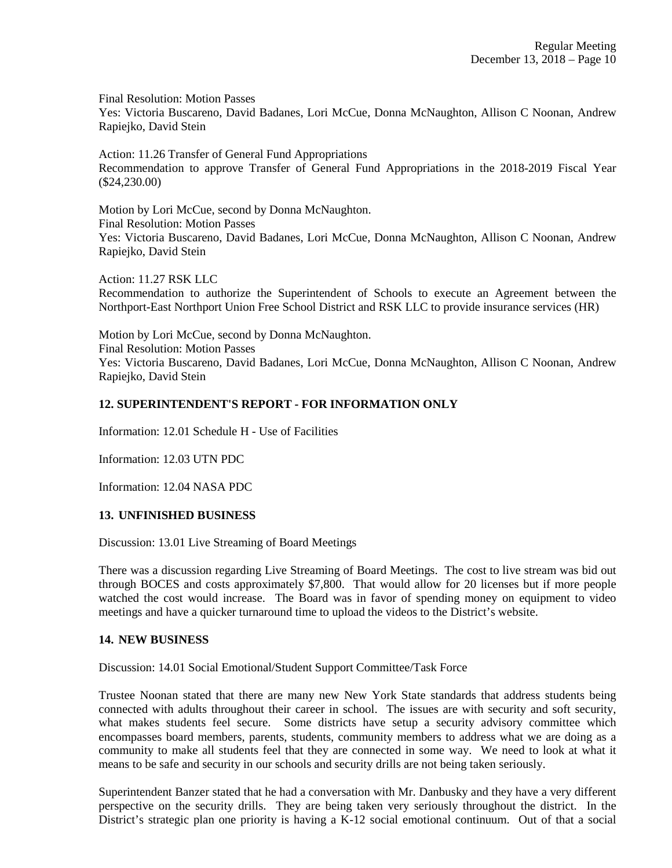Final Resolution: Motion Passes

Yes: Victoria Buscareno, David Badanes, Lori McCue, Donna McNaughton, Allison C Noonan, Andrew Rapiejko, David Stein

Action: 11.26 Transfer of General Fund Appropriations Recommendation to approve Transfer of General Fund Appropriations in the 2018-2019 Fiscal Year (\$24,230.00)

Motion by Lori McCue, second by Donna McNaughton. Final Resolution: Motion Passes Yes: Victoria Buscareno, David Badanes, Lori McCue, Donna McNaughton, Allison C Noonan, Andrew Rapiejko, David Stein

Action: 11.27 RSK LLC Recommendation to authorize the Superintendent of Schools to execute an Agreement between the Northport-East Northport Union Free School District and RSK LLC to provide insurance services (HR)

Motion by Lori McCue, second by Donna McNaughton. Final Resolution: Motion Passes Yes: Victoria Buscareno, David Badanes, Lori McCue, Donna McNaughton, Allison C Noonan, Andrew Rapiejko, David Stein

## **12. SUPERINTENDENT'S REPORT - FOR INFORMATION ONLY**

Information: 12.01 Schedule H - Use of Facilities

Information: 12.03 UTN PDC

Information: 12.04 NASA PDC

## **13. UNFINISHED BUSINESS**

Discussion: 13.01 Live Streaming of Board Meetings

There was a discussion regarding Live Streaming of Board Meetings. The cost to live stream was bid out through BOCES and costs approximately \$7,800. That would allow for 20 licenses but if more people watched the cost would increase. The Board was in favor of spending money on equipment to video meetings and have a quicker turnaround time to upload the videos to the District's website.

#### **14. NEW BUSINESS**

Discussion: 14.01 Social Emotional/Student Support Committee/Task Force

Trustee Noonan stated that there are many new New York State standards that address students being connected with adults throughout their career in school. The issues are with security and soft security, what makes students feel secure. Some districts have setup a security advisory committee which encompasses board members, parents, students, community members to address what we are doing as a community to make all students feel that they are connected in some way. We need to look at what it means to be safe and security in our schools and security drills are not being taken seriously.

Superintendent Banzer stated that he had a conversation with Mr. Danbusky and they have a very different perspective on the security drills. They are being taken very seriously throughout the district. In the District's strategic plan one priority is having a K-12 social emotional continuum. Out of that a social